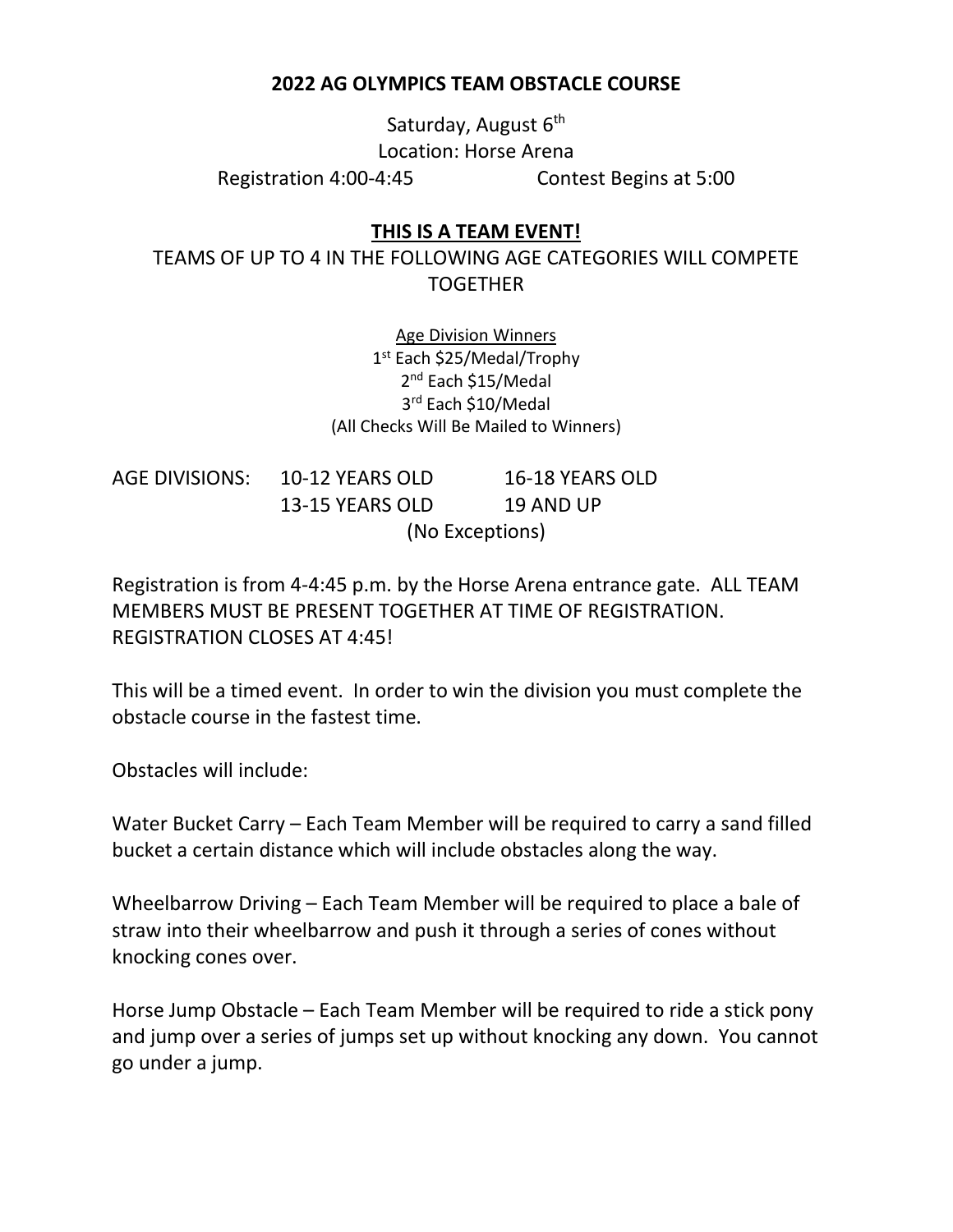## **2022 AG OLYMPICS TEAM OBSTACLE COURSE**

Saturday, August  $6<sup>th</sup>$ Location: Horse Arena Registration 4:00-4:45 Contest Begins at 5:00

## **THIS IS A TEAM EVENT!**

TEAMS OF UP TO 4 IN THE FOLLOWING AGE CATEGORIES WILL COMPETE TOGETHER

> Age Division Winners 1 st Each \$25/Medal/Trophy 2<sup>nd</sup> Each \$15/Medal 3 rd Each \$10/Medal (All Checks Will Be Mailed to Winners)

AGE DIVISIONS: 10-12 YEARS OLD 16-18 YEARS OLD 13-15 YEARS OLD 19 AND UP (No Exceptions)

Registration is from 4-4:45 p.m. by the Horse Arena entrance gate. ALL TEAM MEMBERS MUST BE PRESENT TOGETHER AT TIME OF REGISTRATION. REGISTRATION CLOSES AT 4:45!

This will be a timed event. In order to win the division you must complete the obstacle course in the fastest time.

Obstacles will include:

Water Bucket Carry – Each Team Member will be required to carry a sand filled bucket a certain distance which will include obstacles along the way.

Wheelbarrow Driving – Each Team Member will be required to place a bale of straw into their wheelbarrow and push it through a series of cones without knocking cones over.

Horse Jump Obstacle – Each Team Member will be required to ride a stick pony and jump over a series of jumps set up without knocking any down. You cannot go under a jump.